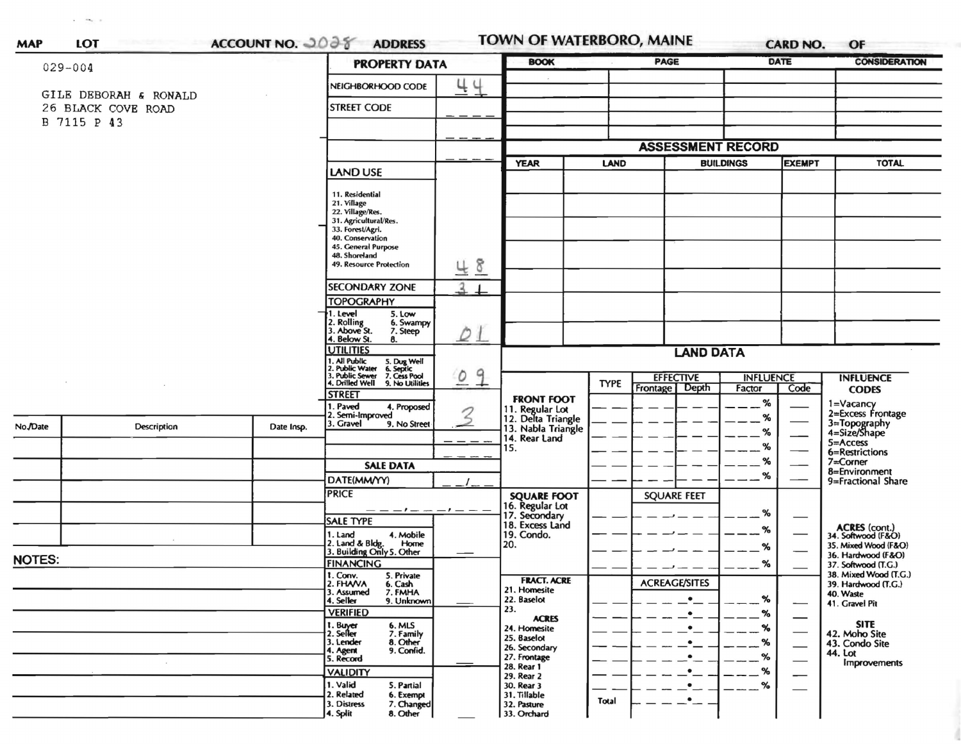| $029 - 004$                                                |                    |            | <b>PROPERTY DATA</b>                                                                                                                                                                                                                                              | <b>BOOK</b>                   | <b>PAGE</b>                                                                             |             |                                       | <b>DATE</b>                     | <b>CONSIDERATION</b> |                                                                   |
|------------------------------------------------------------|--------------------|------------|-------------------------------------------------------------------------------------------------------------------------------------------------------------------------------------------------------------------------------------------------------------------|-------------------------------|-----------------------------------------------------------------------------------------|-------------|---------------------------------------|---------------------------------|----------------------|-------------------------------------------------------------------|
| GILE DEBORAH & RONALD<br>26 BLACK COVE ROAD<br>B 7115 P 43 |                    |            | NEIGHBORHOOD CODE                                                                                                                                                                                                                                                 | 44                            |                                                                                         |             |                                       |                                 |                      |                                                                   |
|                                                            |                    |            | <b>STREET CODE</b>                                                                                                                                                                                                                                                |                               |                                                                                         |             |                                       |                                 |                      |                                                                   |
|                                                            |                    |            |                                                                                                                                                                                                                                                                   |                               | <b>ASSESSMENT RECORD</b>                                                                |             |                                       |                                 |                      |                                                                   |
|                                                            |                    |            | LAND USE                                                                                                                                                                                                                                                          |                               | <b>YEAR</b><br><b>LAND</b>                                                              |             | <b>BUILDINGS</b>                      |                                 | <b>EXEMPT</b>        | <b>TOTAL</b>                                                      |
|                                                            |                    |            | 11. Residential<br>21. Village<br>22. Village/Res.<br>31. Agricultural/Res.<br>33. Forest/Agri.<br>40. Conservation<br>45. General Purpose<br>48. Shoreland<br><b>49. Resource Protection</b><br><b>SECONDARY ZONE</b><br><b>TOPOGRAPHY</b><br>1. Level<br>5. Low | 48<br>2                       |                                                                                         |             |                                       |                                 |                      |                                                                   |
|                                                            |                    |            | 2. Rolling<br>3. Above St.<br>6. Swampy<br>7. Steep<br>4. Below St.<br>8.                                                                                                                                                                                         | $\mathcal{Q}$ $\perp$         |                                                                                         |             |                                       |                                 |                      |                                                                   |
|                                                            |                    |            | <b>UTILITIES</b><br>1. All Public<br>2. Public Water<br>3. Public Sewer                                                                                                                                                                                           | <b>LAND DATA</b>              |                                                                                         |             |                                       |                                 |                      |                                                                   |
|                                                            |                    |            | 5. Dug Well<br>6. Septic<br>7. Cess Pool<br>4. Drilled Well<br>9. No Utilities<br><b>STREET</b><br>1. Paved<br>4. Proposed                                                                                                                                        | 9<br>$\overline{\mathcal{O}}$ | <b>FRONT FOOT</b>                                                                       | <b>TYPE</b> | <b>EFFECTIVE</b><br>Frontage<br>Depth | <b>INFLUENCE</b><br>Factor<br>% | Code                 | <b>INFLUENCE</b><br><b>CODES</b><br>1=Vacancy                     |
| No./Date                                                   | <b>Description</b> | Date Insp. | 2. Semi-Improved<br>3. Gravel 9.<br>9. No Street                                                                                                                                                                                                                  |                               | 11. Regular Lot<br>12. Delta Triangle<br>13. Nabla Triangle<br>14. Rear Land<br>15.     |             |                                       | %<br>%<br>%                     |                      | 2=Excess Frontage<br>3=Topography<br>4=Size/Shape<br>5=Access     |
|                                                            |                    |            | <b>SALE DATA</b><br>DATE(MM/YY)                                                                                                                                                                                                                                   |                               |                                                                                         |             |                                       | %<br>%                          |                      | 6=Restrictions<br>7=Corner<br>8=Environment<br>9=Fractional Share |
|                                                            |                    |            | <b>PRICE</b><br>— — — — — — — — —<br><b>SALE TYPE</b><br>1. Land<br>4. Mobile                                                                                                                                                                                     |                               | <b>SQUARE FOOT</b><br>16. Regular Lot<br>17. Secondary<br>18. Excess Land<br>19. Condo. |             | <b>SQUARE FEET</b>                    | %<br>%                          |                      | ACRES (cont.)<br>34. Softwood (F&O)                               |

35. Mixed Wood (F&O)

36. Hardwood (F&O)

37. Softwood (T.G.) 38. Mixed Wood (T.G.)

39. Hardwood (T.G.)

40. Waste

44. Lot

41. Gravel Pit

SITE<br>42. Moho Site<br>43. Condo Site

**Improvements** 

18. Excess Land<br>19. Condo. % 1. Land 4. Mobile<br>2. Land & Bldg. Home<br>3. Building Only 5. Other 4. Mobile 20. % **NOTES: FINANCING**  $%$ 5. Private<br>6. Cash<br>7. FMHA<br>9. Unknown 1. Conv.<br>2. FHAVA **FRACT. ACRE ACREAGE/SITES** 21. Homesite 3. Assumed<br>4. Seller 22. Baselot % 23. **VERIFIED** % **ACRES**  $\overline{\phantom{0}}$ 1. Buyer<br>2. Seller<br>3. Lender 6. MLS<br>7. Family<br>8. Other<br>9. Confid. 24. Homesite % 25. Baselot % 26. Secondary 4. Agent<br>5. Record 27. Frontage  $\%$ 28. Rear 1 **VALIDITY** \_ % 29. Rear 2 1. Valid 30. Rear 3  $-$ % 5. Partial  $\cdot$ - $\overbrace{\phantom{12322111}}$ 6. Exempt 31. Tillable 2. Related  $\bullet$  . **Total** 7. Changed 3. Distress 32. Pasture

8. Other

33. Orchard

4. Split